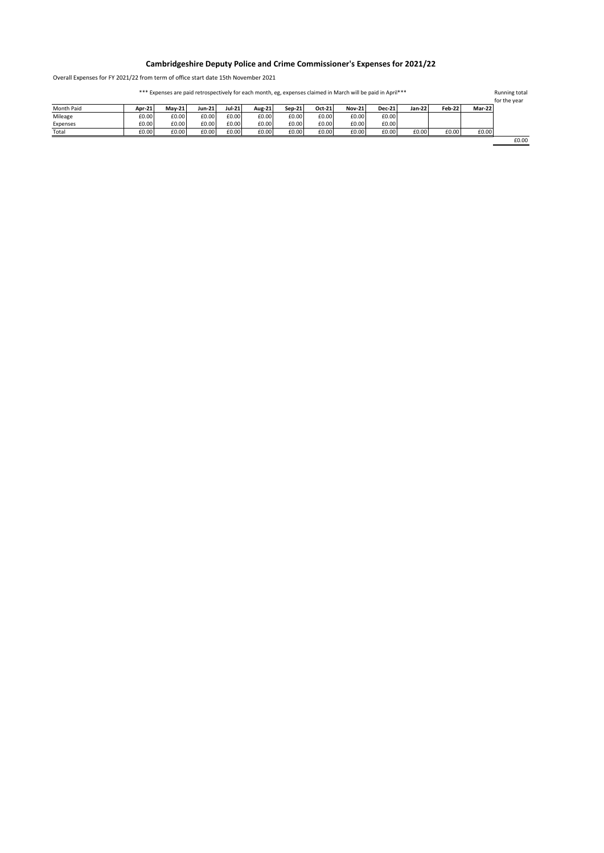## **Cambridgeshire Deputy Police and Crime Commissioner's Expenses for 2021/22**

Overall Expenses for FY 2021/22 from term of office start date 15th November 2021

Running total for the year Month Paid **Apr-21 May-21 Jun-21 Jul-21 Aug-21 Sep-21 Oct-21 Nov-21 Dec-21 Jan-22 Feb-22 Mar-22** Mileage £0.00 £0.00 £0.00 £0.00 £0.00 £0.00 £0.00 £0.00 £0.00 Expenses £0.00 £0.00 £0.00 £0.00 £0.00 £0.00 £0.00 £0.00 £0.00 Total £0.00 £0.00 £0.00 £0.00 £0.00 £0.00 £0.00 £0.00 £0.00 £0.00 £0.00 £0.00 £0.00 \*\*\* Expenses are paid retrospectively for each month, eg, expenses claimed in March will be paid in April\*\*\*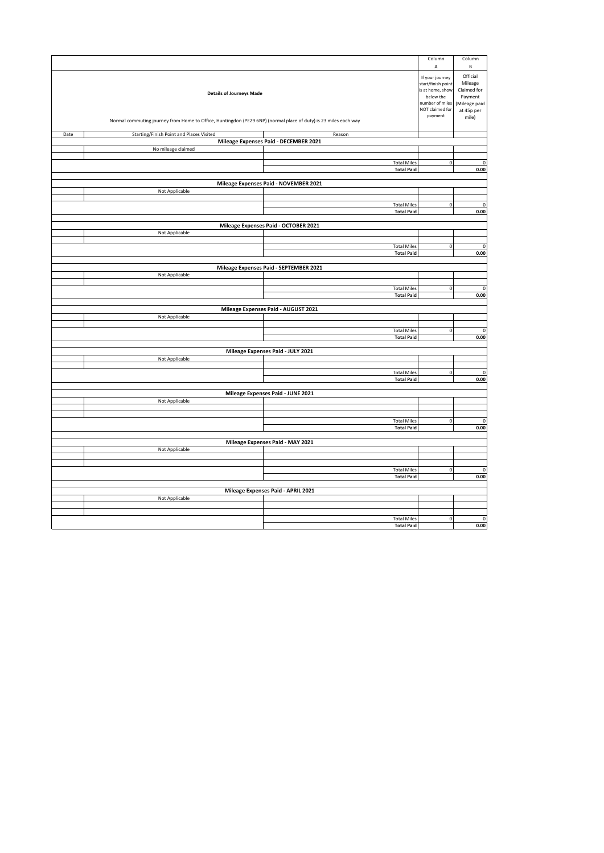|                                     |                                                                                                                 |                                                 | Column                                | Column                  |  |
|-------------------------------------|-----------------------------------------------------------------------------------------------------------------|-------------------------------------------------|---------------------------------------|-------------------------|--|
|                                     |                                                                                                                 |                                                 | А                                     | $\sf{B}$                |  |
|                                     |                                                                                                                 |                                                 |                                       | Official                |  |
|                                     |                                                                                                                 |                                                 | If your journey<br>start/finish point | Mileage                 |  |
|                                     |                                                                                                                 |                                                 | is at home, show                      | Claimed for             |  |
| <b>Details of Journeys Made</b>     |                                                                                                                 |                                                 |                                       | Payment                 |  |
| number of miles                     |                                                                                                                 |                                                 |                                       | (Mileage paid           |  |
|                                     |                                                                                                                 |                                                 | NOT claimed for<br>payment            | at 45p per              |  |
|                                     | Normal commuting journey from Home to Office, Huntingdon (PE29 6NP) (normal place of duty) is 23 miles each way |                                                 |                                       | mile)                   |  |
|                                     |                                                                                                                 |                                                 |                                       |                         |  |
| Date                                | Starting/Finish Point and Places Visited                                                                        | Reason<br>Mileage Expenses Paid - DECEMBER 2021 |                                       |                         |  |
|                                     | No mileage claimed                                                                                              |                                                 |                                       |                         |  |
|                                     |                                                                                                                 |                                                 |                                       |                         |  |
|                                     |                                                                                                                 | <b>Total Miles</b>                              | $\mathbf 0$                           | $\mathbf 0$             |  |
|                                     |                                                                                                                 | <b>Total Paid</b>                               |                                       | 0.00                    |  |
|                                     |                                                                                                                 |                                                 |                                       |                         |  |
|                                     |                                                                                                                 | Mileage Expenses Paid - NOVEMBER 2021           |                                       |                         |  |
|                                     | Not Applicable                                                                                                  |                                                 |                                       |                         |  |
|                                     |                                                                                                                 | <b>Total Miles</b>                              | $\pmb{0}$                             | $\mathsf 0$             |  |
|                                     |                                                                                                                 | <b>Total Paid</b>                               |                                       | 0.00                    |  |
|                                     |                                                                                                                 |                                                 |                                       |                         |  |
|                                     |                                                                                                                 | Mileage Expenses Paid - OCTOBER 2021            |                                       |                         |  |
|                                     | Not Applicable                                                                                                  |                                                 |                                       |                         |  |
|                                     |                                                                                                                 |                                                 |                                       |                         |  |
|                                     |                                                                                                                 | <b>Total Miles</b>                              | $\mathbf 0$                           | 0                       |  |
|                                     |                                                                                                                 | <b>Total Paid</b>                               |                                       | 0.00                    |  |
|                                     |                                                                                                                 | Mileage Expenses Paid - SEPTEMBER 2021          |                                       |                         |  |
|                                     | Not Applicable                                                                                                  |                                                 |                                       |                         |  |
|                                     |                                                                                                                 |                                                 |                                       |                         |  |
|                                     |                                                                                                                 | <b>Total Miles</b>                              | $\overline{\mathbf{0}}$               | $\overline{\mathbf{0}}$ |  |
|                                     |                                                                                                                 | <b>Total Paid</b>                               |                                       | 0.00                    |  |
|                                     |                                                                                                                 |                                                 |                                       |                         |  |
| Mileage Expenses Paid - AUGUST 2021 |                                                                                                                 |                                                 |                                       |                         |  |
|                                     | Not Applicable                                                                                                  |                                                 |                                       |                         |  |
|                                     |                                                                                                                 | <b>Total Miles</b>                              | $\pmb{0}$                             | $\pmb{0}$               |  |
|                                     |                                                                                                                 | <b>Total Paid</b>                               |                                       | 0.00                    |  |
|                                     |                                                                                                                 |                                                 |                                       |                         |  |
| Mileage Expenses Paid - JULY 2021   |                                                                                                                 |                                                 |                                       |                         |  |
|                                     | Not Applicable                                                                                                  |                                                 |                                       |                         |  |
|                                     |                                                                                                                 |                                                 |                                       |                         |  |
|                                     |                                                                                                                 | <b>Total Miles</b><br><b>Total Paid</b>         | $\pmb{0}$                             | $\mathsf 0$<br>$0.00\,$ |  |
|                                     |                                                                                                                 |                                                 |                                       |                         |  |
| Mileage Expenses Paid - JUNE 2021   |                                                                                                                 |                                                 |                                       |                         |  |
|                                     | Not Applicable                                                                                                  |                                                 |                                       |                         |  |
|                                     |                                                                                                                 |                                                 |                                       |                         |  |
|                                     |                                                                                                                 |                                                 |                                       |                         |  |
|                                     |                                                                                                                 | <b>Total Miles</b>                              | $\pmb{0}$                             | $\mathbf 0$             |  |
|                                     |                                                                                                                 | <b>Total Paid</b>                               |                                       | 0.00                    |  |
| Mileage Expenses Paid - MAY 2021    |                                                                                                                 |                                                 |                                       |                         |  |
| Not Applicable                      |                                                                                                                 |                                                 |                                       |                         |  |
|                                     |                                                                                                                 |                                                 |                                       |                         |  |
|                                     |                                                                                                                 |                                                 |                                       |                         |  |
|                                     |                                                                                                                 | <b>Total Miles</b>                              | $\pmb{0}$                             | $\mathsf 0$             |  |
|                                     |                                                                                                                 | <b>Total Paid</b>                               |                                       | 0.00                    |  |
| Mileage Expenses Paid - APRIL 2021  |                                                                                                                 |                                                 |                                       |                         |  |
|                                     | Not Applicable                                                                                                  |                                                 |                                       |                         |  |
|                                     |                                                                                                                 |                                                 |                                       |                         |  |
|                                     |                                                                                                                 |                                                 |                                       |                         |  |
|                                     |                                                                                                                 | <b>Total Miles</b>                              | $\pmb{0}$                             | $\mathsf 0$             |  |
|                                     |                                                                                                                 | <b>Total Paid</b>                               |                                       | 0.00                    |  |